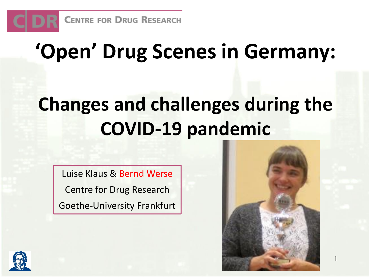

# **'Open' Drug Scenes in Germany:**

## **Changes and challenges during the COVID-19 pandemic**

Luise Klaus & Bernd Werse Centre for Drug Research Goethe-University Frankfurt



1

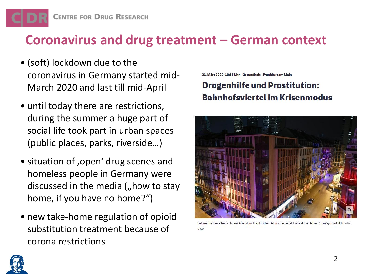#### **Coronavirus and drug treatment – German context**

- (soft) lockdown due to the coronavirus in Germany started mid-March 2020 and last till mid-April
- until today there are restrictions, during the summer a huge part of social life took part in urban spaces (public places, parks, riverside…)
- situation of , open' drug scenes and homeless people in Germany were discussed in the media  $\zeta$ , how to stay home, if you have no home?")
- new take-home regulation of opioid substitution treatment because of corona restrictions

21. März 2020, 10:51 Uhr Gesundheit - Frankfurt am Main

#### **Drogenhilfe und Prostitution: Bahnhofsviertel im Krisenmodus**



Gähnende Leere herrscht am Abend im Frankfurter Bahnhofsviertel. Foto: Arne Dedert/dpa/Symbolbild (Foto: dpa)

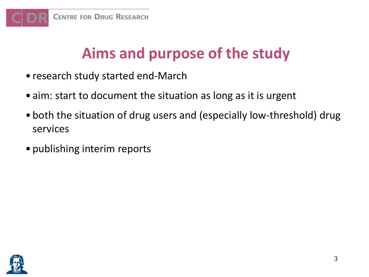

#### **Aims and purpose of the study**

- research study started end-March
- aim: start to document the situation as long as it is urgent
- both the situation of drug users and (especially low-threshold) drug services
- publishing interim reports

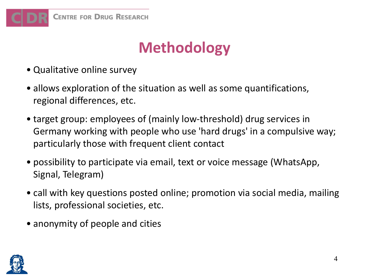

#### **Methodology**

- Qualitative online survey
- allows exploration of the situation as well as some quantifications, regional differences, etc.
- target group: employees of (mainly low-threshold) drug services in Germany working with people who use 'hard drugs' in a compulsive way; particularly those with frequent client contact
- possibility to participate via email, text or voice message (WhatsApp, Signal, Telegram)
- call with key questions posted online; promotion via social media, mailing lists, professional societies, etc.
- anonymity of people and cities

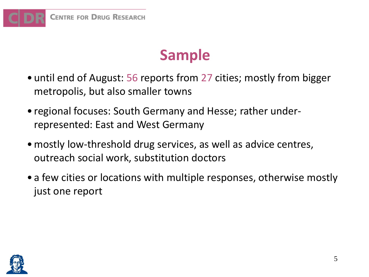

#### **Sample**

- until end of August: 56 reports from 27 cities; mostly from bigger metropolis, but also smaller towns
- regional focuses: South Germany and Hesse; rather underrepresented: East and West Germany
- •mostly low-threshold drug services, as well as advice centres, outreach social work, substitution doctors
- a few cities or locations with multiple responses, otherwise mostly just one report

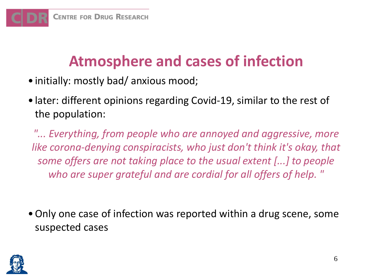#### **Atmosphere and cases of infection**

- initially: mostly bad/ anxious mood;
- later: different opinions regarding Covid-19, similar to the rest of the population:

*"... Everything, from people who are annoyed and aggressive, more like corona-denying conspiracists, who just don't think it's okay, that some offers are not taking place to the usual extent [...] to people who are super grateful and are cordial for all offers of help. "*

•Only one case of infection was reported within a drug scene, some suspected cases

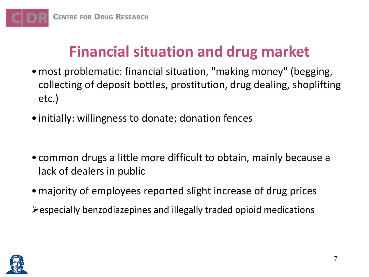

#### **Financial situation and drug market**

- •most problematic: financial situation, "making money" (begging, collecting of deposit bottles, prostitution, drug dealing, shoplifting etc.)
- initially: willingness to donate; donation fences
- common drugs a little more difficult to obtain, mainly because a lack of dealers in public
- majority of employees reported slight increase of drug prices
- ➢especially benzodiazepines and illegally traded opioid medications

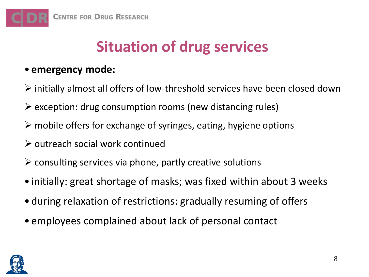## **Situation of drug services**

#### • **emergency mode:**

- ➢ initially almost all offers of low-threshold services have been closed down
- $\triangleright$  exception: drug consumption rooms (new distancing rules)
- $\triangleright$  mobile offers for exchange of syringes, eating, hygiene options
- ➢ outreach social work continued
- $\triangleright$  consulting services via phone, partly creative solutions
- initially: great shortage of masks; was fixed within about 3 weeks
- during relaxation of restrictions: gradually resuming of offers
- employees complained about lack of personal contact

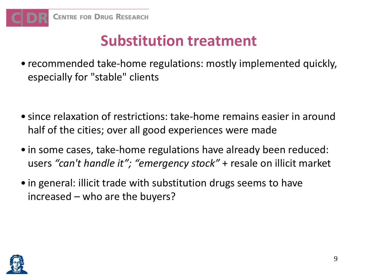### **Substitution treatment**

- recommended take-home regulations: mostly implemented quickly, especially for "stable" clients
- since relaxation of restrictions: take-home remains easier in around half of the cities; over all good experiences were made
- in some cases, take-home regulations have already been reduced: users *"can't handle it"; "emergency stock"* + resale on illicit market
- in general: illicit trade with substitution drugs seems to have increased – who are the buyers?

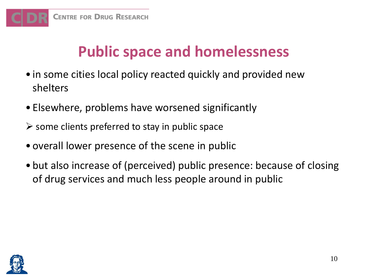

#### **Public space and homelessness**

- in some cities local policy reacted quickly and provided new shelters
- Elsewhere, problems have worsened significantly
- $\triangleright$  some clients preferred to stay in public space
- overall lower presence of the scene in public
- but also increase of (perceived) public presence: because of closing of drug services and much less people around in public

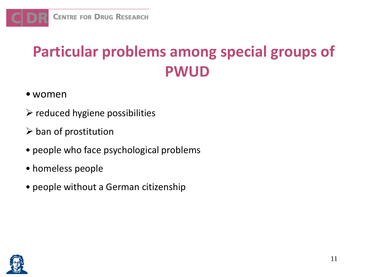

## **Particular problems among special groups of PWUD**

- women
- $\triangleright$  reduced hygiene possibilities
- $\triangleright$  ban of prostitution
- people who face psychological problems
- homeless people
- people without a German citizenship

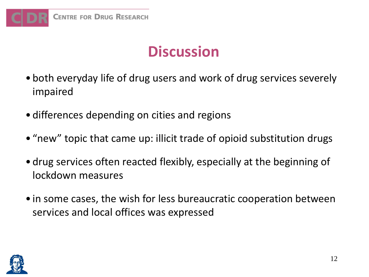

#### **Discussion**

- both everyday life of drug users and work of drug services severely impaired
- differences depending on cities and regions
- "new" topic that came up: illicit trade of opioid substitution drugs
- drug services often reacted flexibly, especially at the beginning of lockdown measures
- in some cases, the wish for less bureaucratic cooperation between services and local offices was expressed

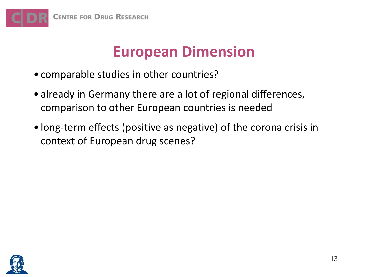

#### **European Dimension**

- comparable studies in other countries?
- already in Germany there are a lot of regional differences, comparison to other European countries is needed
- long-term effects (positive as negative) of the corona crisis in context of European drug scenes?